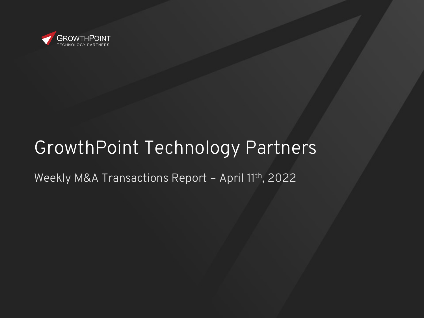

# GrowthPoint Technology Partners

#### Weekly M&A Transactions Report - April 11th, 2022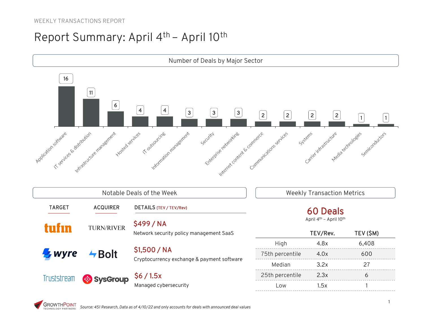#### WEEKLY TRANSACTIONS REPORT

#### Report Summary: April 4th – April 10th

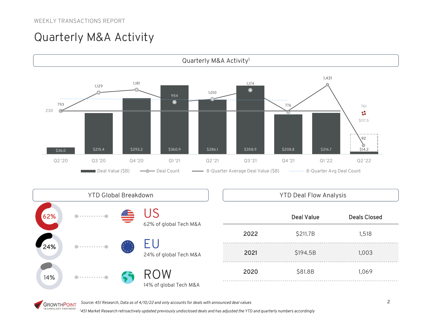## Quarterly M&A Activity



|     | <b>YTD Global Breakdown</b> |                               |  | <b>YTD Deal Flow Analysis</b> |                   |                     |
|-----|-----------------------------|-------------------------------|--|-------------------------------|-------------------|---------------------|
| 62% |                             | 62% of global Tech M&A        |  |                               | <b>Deal Value</b> | <b>Deals Closed</b> |
|     |                             | 24% of global Tech M&A        |  | 2022                          | \$211.7B          | 1,518               |
| 24% |                             |                               |  | 2021                          | \$194.5B          | 1,003               |
| 14% |                             | ROW<br>14% of global Tech M&A |  | 2020                          | \$81.8B           | 1,069               |

*Source: 451 Research, Data as of 4/10/22 and only accounts for deals with announced deal values*

**GROWTHPOINT** *1 451 Market Research retroactively updated previously undisclosed deals and has adjusted the YTD and quarterly numbers accordingly*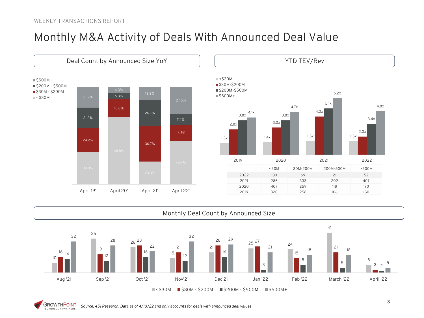#### Monthly M&A Activity of Deals With Announced Deal Value







**GROWTHPOINT** *Source: 451 Research, Data as of 4/10/22 and only accounts for deals with announced deal values* TECHNOLOGY PARTNERS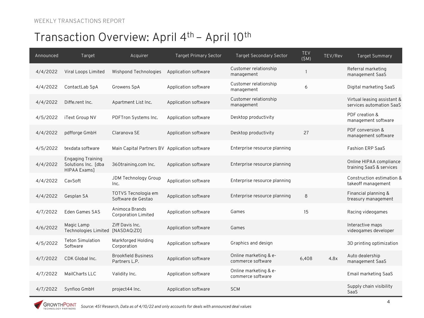| Announced | Target                                                                 | Acquirer                                      | <b>Target Primary Sector</b> | <b>Target Secondary Sector</b>             | <b>TEV</b><br>(SM) | TEV/Rev | Target Summary                                          |
|-----------|------------------------------------------------------------------------|-----------------------------------------------|------------------------------|--------------------------------------------|--------------------|---------|---------------------------------------------------------|
| 4/4/2022  | Viral Loops Limited                                                    | Wishpond Technologies                         | Application software         | Customer relationship<br>management        | $\overline{1}$     |         | Referral marketing<br>management SaaS                   |
| 4/4/2022  | ContactLab SpA                                                         | Growens SpA                                   | Application software         | Customer relationship<br>management        | 6                  |         | Digital marketing SaaS                                  |
| 4/4/2022  | Diffe.rent Inc.                                                        | Apartment List Inc.                           | Application software         | Customer relationship<br>management        |                    |         | Virtual leasing assistant &<br>services automation SaaS |
| 4/5/2022  | iText Group NV                                                         | PDFTron Systems Inc.                          | Application software         | Desktop productivity                       |                    |         | PDF creation &<br>management software                   |
| 4/4/2022  | pdfforge GmbH                                                          | Claranova SE                                  | Application software         | Desktop productivity                       | 27                 |         | PDF conversion &<br>management software                 |
| 4/5/2022  | texdata software                                                       | Main Capital Partners BV Application software |                              | Enterprise resource planning               |                    |         | <b>Fashion ERP SaaS</b>                                 |
| 4/4/2022  | <b>Engaging Training</b><br>Solutions Inc. [dba<br><b>HIPAA Exams]</b> | 360training.com Inc.                          | Application software         | Enterprise resource planning               |                    |         | Online HIPAA compliance<br>training SaaS & services     |
| 4/4/2022  | CavSoft                                                                | JDM Technology Group<br>Inc.                  | Application software         | Enterprise resource planning               |                    |         | Construction estimation &<br>takeoff management         |
| 4/4/2022  | Gesplan SA                                                             | TOTVS Tecnologia em<br>Software de Gestao     | Application software         | Enterprise resource planning               | 8                  |         | Financial planning &<br>treasury management             |
| 4/7/2022  | Eden Games SAS                                                         | Animoca Brands<br><b>Corporation Limited</b>  | Application software         | Games                                      | 15                 |         | Racing videogames                                       |
| 4/6/2022  | Magic Lamp<br>Technologies Limited                                     | Ziff Davis Inc.<br>[NASDAQ:ZD]                | Application software         | Games                                      |                    |         | Interactive maps<br>videogames developer                |
| 4/5/2022  | <b>Teton Simulation</b><br>Software                                    | Markforged Holding<br>Corporation             | Application software         | Graphics and design                        |                    |         | 3D printing optimization                                |
| 4/7/2022  | CDK Global Inc.                                                        | <b>Brookfield Business</b><br>Partners L.P.   | Application software         | Online marketing & e-<br>commerce software | 6,408              | 4.8x    | Auto dealership<br>management SaaS                      |
| 4/7/2022  | MailCharts LLC                                                         | Validity Inc.                                 | Application software         | Online marketing & e-<br>commerce software |                    |         | Email marketing SaaS                                    |
| 4/7/2022  | Synfioo GmbH                                                           | project44 Inc.                                | Application software         | <b>SCM</b>                                 |                    |         | Supply chain visibility<br>SaaS                         |

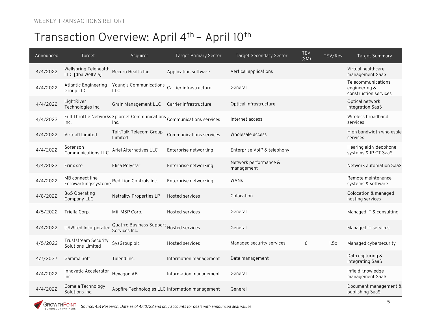| Announced | Target                                     | Acquirer                                                                       | <b>Target Primary Sector</b>                    | <b>Target Secondary Sector</b>      | TEV<br>(SM) | TEV/Rev | <b>Target Summary</b>                                        |
|-----------|--------------------------------------------|--------------------------------------------------------------------------------|-------------------------------------------------|-------------------------------------|-------------|---------|--------------------------------------------------------------|
| 4/4/2022  | Wellspring Telehealth<br>LLC [dba WellVia] | Recuro Health Inc.                                                             | Application software                            | Vertical applications               |             |         | Virtual healthcare<br>management SaaS                        |
| 4/4/2022  | Atlantic Engineering<br>Group LLC          | Young's Communications Carrier infrastructure<br>LLC.                          |                                                 | General                             |             |         | Telecommunications<br>engineering &<br>construction services |
| 4/4/2022  | LightRiver<br>Technologies Inc.            | Grain Management LLC                                                           | Carrier infrastructure                          | Optical infrastructure              |             |         | Optical network<br>integration SaaS                          |
| 4/4/2022  | Inc.                                       | Full Throttle Networks Xplornet Communications Communications services<br>Inc. |                                                 | Internet access                     |             |         | Wireless broadband<br>services                               |
| 4/4/2022  | Virtual1 Limited                           | TalkTalk Telecom Group<br>Limited                                              | Communications services                         | Wholesale access                    |             |         | High bandwidth wholesale<br>services                         |
| 4/4/2022  | Sorenson<br><b>Communications LLC</b>      | Ariel Alternatives LLC                                                         | Enterprise networking                           | Enterprise VoIP & telephony         |             |         | Hearing aid videophone<br>systems & IP CT SaaS               |
| 4/4/2022  | Frinx sro                                  | Elisa Polystar                                                                 | Enterprise networking                           | Network performance &<br>management |             |         | Network automation SaaS                                      |
| 4/4/2022  | MB connect line<br>Fernwartungssysteme     | Red Lion Controls Inc.                                                         | Enterprise networking                           | WANS                                |             |         | Remote maintenance<br>systems & software                     |
| 4/8/2022  | 365 Operating<br>Company LLC               | <b>Netrality Properties LP</b>                                                 | Hosted services                                 | Colocation                          |             |         | Colocation & managed<br>hosting services                     |
| 4/5/2022  | Triella Corp.                              | Miii MSP Corp.                                                                 | Hosted services                                 | General                             |             |         | Managed IT & consulting                                      |
| 4/4/2022  | USWired Incorporated                       | Quatrro Business Support Hosted services<br>Services Inc.                      |                                                 | General                             |             |         | Managed IT services                                          |
| 4/5/2022  | Truststream Security<br>Solutions Limited  | SysGroup plc                                                                   | Hosted services                                 | Managed security services           | 6           | 1.5x    | Managed cybersecurity                                        |
| 4/7/2022  | Gamma Soft                                 | Talend Inc.                                                                    | Information management                          | Data management                     |             |         | Data capturing &<br>integrating SaaS                         |
| 4/4/2022  | Innovatia Accelerator<br>Inc.              | Hexagon AB                                                                     | Information management                          | General                             |             |         | Infield knowledge<br>management SaaS                         |
| 4/4/2022  | Comala Technology<br>Solutions Inc.        |                                                                                | Appfire Technologies LLC Information management | General                             |             |         | Document management &<br>publishing SaaS                     |

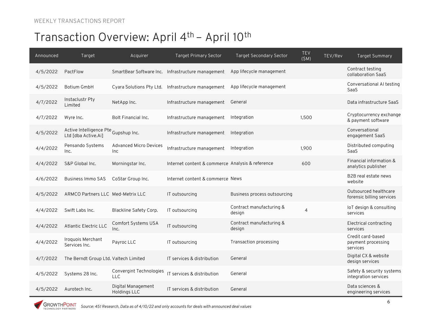| Announced | Target                                                      | Acquirer                              | <b>Target Primary Sector</b>                       | <b>Target Secondary Sector</b>     | <b>TEV</b><br>(SM) | TEV/Rev | <b>Target Summary</b>                               |
|-----------|-------------------------------------------------------------|---------------------------------------|----------------------------------------------------|------------------------------------|--------------------|---------|-----------------------------------------------------|
| 4/5/2022  | PactFlow                                                    |                                       | SmartBear Software Inc. Infrastructure management  | App lifecycle management           |                    |         | Contract testing<br>collaboration SaaS              |
| 4/5/2022  | Botium GmbH                                                 |                                       | Cyara Solutions Pty Ltd. Infrastructure management | App lifecycle management           |                    |         | Conversational AI testing<br>SaaS                   |
| 4/7/2022  | Instaclustr Pty<br>Limited                                  | NetApp Inc.                           | Infrastructure management                          | General                            |                    |         | Data infrastructure SaaS                            |
| 4/7/2022  | Wyre Inc.                                                   | Bolt Financial Inc.                   | Infrastructure management                          | Integration                        | 1.500              |         | Cryptocurrency exchange<br>& payment software       |
| 4/5/2022  | Active Intelligence Pte Gupshup Inc.<br>Ltd [dba Active.Ai] |                                       | Infrastructure management                          | Integration                        |                    |         | Conversational<br>engagement SaaS                   |
| 4/4/2022  | Pensando Systems<br>Inc.                                    | <b>Advanced Micro Devices</b><br>Inc  | Infrastructure management                          | Integration                        | 1.900              |         | Distributed computing<br>SaaS                       |
| 4/4/2022  | S&P Global Inc.                                             | Morningstar Inc.                      | Internet content & commerce Analysis & reference   |                                    | 600                |         | Financial information &<br>analytics publisher      |
| 4/6/2022  | <b>Business Immo SAS</b>                                    | CoStar Group Inc.                     | Internet content & commerce News                   |                                    |                    |         | B2B real estate news<br>website                     |
| 4/5/2022  | ARMCO Partners LLC Med-Metrix LLC                           |                                       | IT outsourcing                                     | Business process outsourcing       |                    |         | Outsourced healthcare<br>forensic billing services  |
| 4/4/2022  | Swift Labs Inc.                                             | Blackline Safety Corp.                | IT outsourcing                                     | Contract manufacturing &<br>design | $\overline{4}$     |         | loT design & consulting<br>services                 |
| 4/4/2022  | Atlantic Electric LLC                                       | Comfort Systems USA<br>Inc.           | IT outsourcing                                     | Contract manufacturing &<br>design |                    |         | Electrical contracting<br>services                  |
| 4/4/2022  | Iroquois Merchant<br>Services Inc.                          | Payroc LLC                            | IT outsourcing                                     | Transaction processing             |                    |         | Credit card-based<br>payment processing<br>services |
| 4/7/2022  | The Berndt Group Ltd. Valtech Limited                       |                                       | IT services & distribution                         | General                            |                    |         | Digital CX & website<br>design services             |
| 4/5/2022  | Systems 28 Inc.                                             | Convergint Technologies<br><b>LLC</b> | IT services & distribution                         | General                            |                    |         | Safety & security systems<br>integration services   |
| 4/5/2022  | Aurotech Inc.                                               | Digital Management<br>Holdings LLC    | IT services & distribution                         | General                            |                    |         | Data sciences &<br>engineering services             |

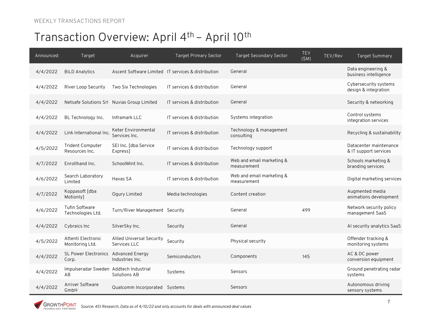| Announced | Target                                       | Acquirer                                         | <b>Target Primary Sector</b>                       | <b>Target Secondary Sector</b>           | <b>TEV</b><br>TEV/Rev<br>(SM) | <b>Target Summary</b>                           |
|-----------|----------------------------------------------|--------------------------------------------------|----------------------------------------------------|------------------------------------------|-------------------------------|-------------------------------------------------|
| 4/4/2022  | <b>BiLD Analytics</b>                        |                                                  | Ascent Software Limited IT services & distribution | General                                  |                               | Data engineering &<br>business intelligence     |
| 4/4/2022  | River Loop Security                          | Two Six Technologies                             | IT services & distribution                         | General                                  |                               | Cybersecurity systems<br>design & integration   |
| 4/4/2022  |                                              | Netsafe Solutions Srl Nuvias Group Limited       | IT services & distribution                         | General                                  |                               | Security & networking                           |
| 4/4/2022  | BL Technology Inc.                           | Inframark LLC                                    | IT services & distribution                         | Systems integration                      |                               | Control systems<br>integration services         |
| 4/4/2022  | Link International Inc.                      | Keter Environmental<br>Services Inc.             | IT services & distribution                         | Technology & management<br>consulting    |                               | Recycling & sustainability                      |
| 4/5/2022  | <b>Trident Computer</b><br>Resources Inc.    | SEI Inc. [dba Service<br>Express]                | IT services & distribution                         | Technology support                       |                               | Datacenter maintenance<br>& IT support services |
| 4/7/2022  | Enrollhand Inc.                              | SchoolMint Inc.                                  | IT services & distribution                         | Web and email marketing &<br>measurement |                               | Schools marketing &<br>branding services        |
| 4/6/2022  | Search Laboratory<br>Limited                 | Havas SA                                         | IT services & distribution                         | Web and email marketing &<br>measurement |                               | Digital marketing services                      |
| 4/7/2022  | Koppasoft [dba<br>Motionly]                  | Ogury Limited                                    | Media technologies                                 | Content creation                         |                               | Augmented media<br>animations development       |
| 4/6/2022  | Tufin Software<br>Technologies Ltd.          | Turn/River Management Security                   |                                                    | General                                  | 499                           | Network security policy<br>management SaaS      |
| 4/4/2022  | Cybraics Inc                                 | SilverSky Inc.                                   | Security                                           | General                                  |                               | Al security analytics SaaS                      |
| 4/5/2022  | Attenti Electronic<br>Monitoring Ltd.        | <b>Allied Universal Security</b><br>Services LLC | Security                                           | Physical security                        |                               | Offender tracking &<br>monitoring systems       |
| 4/4/2022  | <b>SL Power Electronics</b><br>Corp.         | Advanced Energy<br>Industries Inc.               | Semiconductors                                     | Components                               | 145                           | AC & DC power<br>conversion equipment           |
| 4/4/2022  | Impulseradar Sweden Addtech Industrial<br>AB | Solutions AB                                     | Systems                                            | Sensors                                  |                               | Ground penetrating radar<br>systems             |
| 4/4/2022  | Arriver Software<br>GmbH                     | Qualcomm Incorporated Systems                    |                                                    | Sensors                                  |                               | Autonomous driving<br>sensory systems           |

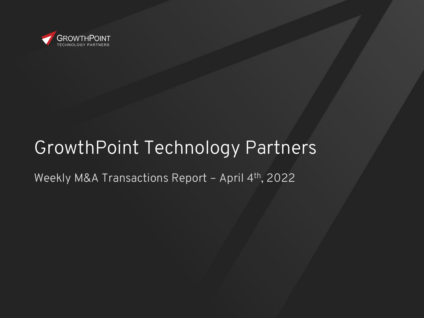

# GrowthPoint Technology Partners

Weekly M&A Transactions Report - April 4th, 2022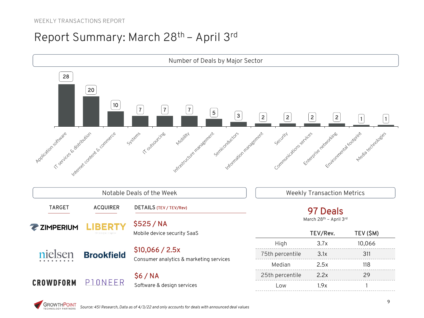#### Report Summary: March 28th – April 3rd

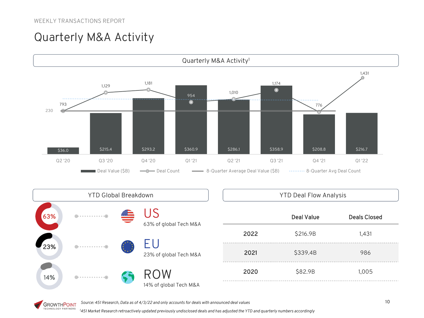## Quarterly M&A Activity





|      | <b>Deal Value</b> | <b>Deals Closed</b> |
|------|-------------------|---------------------|
| 2022 | \$216.9B          | 1,431               |
| 2021 | \$339.4B          | 986                 |
| 2020 | \$82.9B           | 1,005               |
|      |                   |                     |

*Source: 451 Research, Data as of 4/3/22 and only accounts for deals with announced deal values* **GROWTHPOINT** 

TECHNOLOGY PARTNERS *1 451 Market Research retroactively updated previously undisclosed deals and has adjusted the YTD and quarterly numbers accordingly*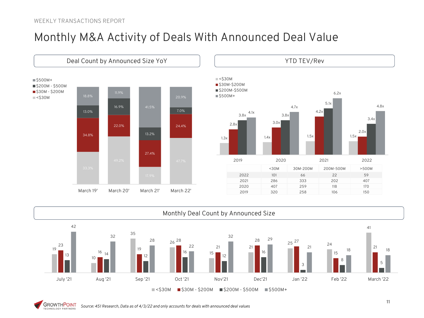#### Monthly M&A Activity of Deals With Announced Deal Value







**GROWTHPOINT** *Source: 451 Research, Data as of 4/3/22 and only accounts for deals with announced deal values* TECHNOLOGY PARTNERS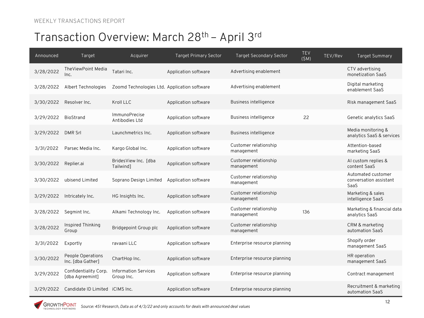| Announced | Target                                   | Acquirer                                     | <b>Target Primary Sector</b> | <b>Target Secondary Sector</b>      | <b>TEV</b><br>TEV/Rev<br>(SM) | Target Summary                                       |
|-----------|------------------------------------------|----------------------------------------------|------------------------------|-------------------------------------|-------------------------------|------------------------------------------------------|
| 3/28/2022 | TheViewPoint Media<br>Inc.               | Tatari Inc.                                  | Application software         | Advertising enablement              |                               | CTV advertising<br>monetization SaaS                 |
| 3/28/2022 | Albert Technologies                      | Zoomd Technologies Ltd. Application software |                              | Advertising enablement              |                               | Digital marketing<br>enablement SaaS                 |
| 3/30/2022 | Resolver Inc.                            | Kroll LLC                                    | Application software         | Business intelligence               |                               | Risk management SaaS                                 |
| 3/29/2022 | BioStrand                                | <b>ImmunoPrecise</b><br>Antibodies Ltd       | Application software         | Business intelligence               | 22                            | Genetic analytics SaaS                               |
| 3/29/2022 | <b>DMR Srl</b>                           | Launchmetrics Inc.                           | Application software         | <b>Business intelligence</b>        |                               | Media monitoring &<br>analytics SaaS & services      |
| 3/31/2022 | Parsec Media Inc.                        | Kargo Global Inc.                            | Application software         | Customer relationship<br>management |                               | Attention-based<br>marketing SaaS                    |
| 3/30/2022 | Replier.ai                               | BridesView Inc. [dba<br>Tailwind]            | Application software         | Customer relationship<br>management |                               | Al custom replies &<br>content SaaS                  |
| 3/30/2022 | ubisend Limited                          | Soprano Design Limited                       | Application software         | Customer relationship<br>management |                               | Automated customer<br>conversation assistant<br>SaaS |
| 3/29/2022 | Intricately Inc.                         | HG Insights Inc.                             | Application software         | Customer relationship<br>management |                               | Marketing & sales<br>intelligence SaaS               |
| 3/28/2022 | Segmint Inc.                             | Alkami Technology Inc.                       | Application software         | Customer relationship<br>management | 136                           | Marketing & financial data<br>analytics SaaS         |
| 3/28/2022 | Inspired Thinking<br>Group               | Bridgepoint Group plc                        | Application software         | Customer relationship<br>management |                               | CRM & marketing<br>automation SaaS                   |
| 3/31/2022 | Exportly                                 | ravaani LLC                                  | Application software         | Enterprise resource planning        |                               | Shopify order<br>management SaaS                     |
| 3/30/2022 | People Operations<br>Inc. [dba Gather]   | ChartHop Inc.                                | Application software         | Enterprise resource planning        |                               | HR operation<br>management SaaS                      |
| 3/29/2022 | Confidentiality Corp.<br>[dba Agreemint] | <b>Information Services</b><br>Group Inc.    | Application software         | Enterprise resource planning        |                               | Contract management                                  |
| 3/29/2022 | Candidate ID Limited iCIMS Inc.          |                                              | Application software         | Enterprise resource planning        |                               | Recruitment & marketing<br>automation SaaS           |

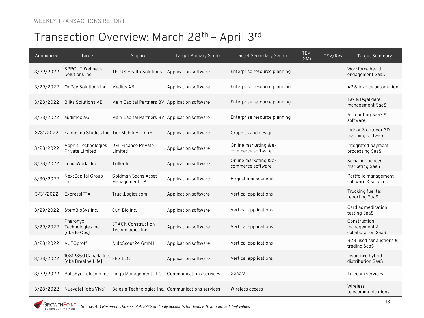| Announced | Target                                             | Acquirer                                       | <b>Target Primary Sector</b>                      | <b>Target Secondary Sector</b>             | <b>TEV</b><br>TEV/Rev<br>(SM) | Target Summary                                     |
|-----------|----------------------------------------------------|------------------------------------------------|---------------------------------------------------|--------------------------------------------|-------------------------------|----------------------------------------------------|
| 3/29/2022 | <b>SPROUT Wellness</b><br>Solutions Inc.           | <b>TELUS Health Solutions</b>                  | Application software                              | Enterprise resource planning               |                               | Workforce health<br>engagement SaaS                |
| 3/29/2022 | OnPay Solutions Inc. Medius AB                     |                                                | Application software                              | Enterprise resource planning               |                               | AP & invoice automation                            |
| 3/28/2022 | <b>Blika Solutions AB</b>                          | Main Capital Partners BV Application software  |                                                   | Enterprise resource planning               |                               | Tax & legal data<br>management SaaS                |
| 3/28/2022 | audimex AG                                         | Main Capital Partners BV Application software  |                                                   | Enterprise resource planning               |                               | Accounting SaaS &<br>software                      |
| 3/31/2022 | Fantasmo Studios Inc. Tier Mobility GmbH           |                                                | Application software                              | Graphics and design                        |                               | Indoor & outdoor 3D<br>mapping software            |
| 3/28/2022 | Appnit Technologies<br>Private Limited             | <b>DMI Finance Private</b><br>Limited          | Application software                              | Online marketing & e-<br>commerce software |                               | Integrated payment<br>processing SaaS              |
| 3/28/2022 | JuliusWorks Inc.                                   | Triller Inc.                                   | Application software                              | Online marketing & e-<br>commerce software |                               | Social influencer<br>marketing SaaS                |
| 3/30/2022 | NextCapital Group<br>Inc.                          | Goldman Sachs Asset<br>Management LP           | Application software                              | Project management                         |                               | Portfolio management<br>software & services        |
| 3/31/2022 | ExpressIFTA                                        | TruckLogics.com                                | Application software                              | Vertical applications                      |                               | Trucking fuel tax<br>reporting SaaS                |
| 3/29/2022 | StemBioSys Inc.                                    | Curi Bio Inc.                                  | Application software                              | Vertical applications                      |                               | Cardiac medication<br>testing SaaS                 |
| 3/29/2022 | Pharonyx<br>Technologies Inc.<br>[dba K-Ops]       | <b>STACK Construction</b><br>Technologies Inc. | Application software                              | Vertical applications                      |                               | Construction<br>management &<br>collaboration SaaS |
| 3/28/2022 | AUTOproff                                          | AutoScout24 GmbH                               | Application software                              | Vertical applications                      |                               | B2B used car auctions &<br>trading SaaS            |
| 3/28/2022 | 10319350 Canada Inc. SE2 LLC<br>[dba Breathe Life] |                                                | Application software                              | Vertical applications                      |                               | Insurance hybrid<br>distribution SaaS              |
| 3/29/2022 |                                                    | BullsEye Telecom Inc. Lingo Management LLC     | Communications services                           | General                                    |                               | Telecom services                                   |
| 3/28/2022 | Nuevatel [dba Viva]                                |                                                | Balesia Technologies Inc. Communications services | Wireless access                            |                               | Wireless<br>telecommunications                     |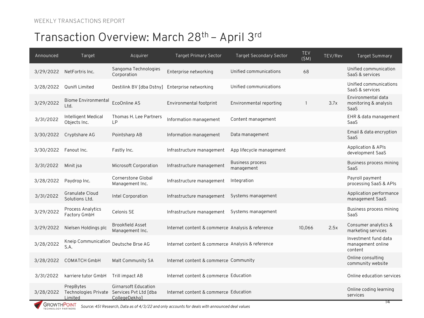| Announced | Target                                       | Acquirer                                                              | <b>Target Primary Sector</b>                     | <b>Target Secondary Sector</b>        | <b>TEV</b><br>(SM) | TEV/Rev | <b>Target Summary</b>                                |
|-----------|----------------------------------------------|-----------------------------------------------------------------------|--------------------------------------------------|---------------------------------------|--------------------|---------|------------------------------------------------------|
| 3/29/2022 | NetFortris Inc.                              | Sangoma Technologies<br>Corporation                                   | Enterprise networking                            | Unified communications                | 68                 |         | Unified communication<br>SaaS & services             |
| 3/28/2022 | Qunifi Limited                               | Destilink BV [dba Dstny] Enterprise networking                        |                                                  | Unified communications                |                    |         | Unified communications<br>SaaS & services            |
| 3/29/2022 | <b>Biome Environmental</b><br>Ltd.           | EcoOnline AS                                                          | Environmental footprint                          | Environmental reporting               | $\mathbf{1}$       | 3.7x    | Environmental data<br>monitoring & analysis<br>SaaS  |
| 3/31/2022 | Intelligent Medical<br>Objects Inc.          | Thomas H. Lee Partners<br>LP                                          | Information management                           | Content management                    |                    |         | EHR & data management<br>SaaS                        |
| 3/30/2022 | Cryptshare AG                                | Pointsharp AB                                                         | Information management                           | Data management                       |                    |         | Email & data encryption<br>SaaS                      |
| 3/30/2022 | Fanout Inc.                                  | Fastly Inc.                                                           | Infrastructure management                        | App lifecycle management              |                    |         | <b>Application &amp; APIs</b><br>development SaaS    |
| 3/31/2022 | Minit isa                                    | Microsoft Corporation                                                 | Infrastructure management                        | <b>Business process</b><br>management |                    |         | Business process mining<br>SaaS                      |
| 3/28/2022 | Paydrop Inc.                                 | <b>Cornerstone Global</b><br>Management Inc.                          | Infrastructure management                        | Integration                           |                    |         | Payroll payment<br>processing SaaS & APIs            |
| 3/31/2022 | <b>Granulate Cloud</b><br>Solutions Ltd.     | Intel Corporation                                                     | Infrastructure management                        | Systems management                    |                    |         | Application performance<br>management SaaS           |
| 3/29/2022 | <b>Process Analytics</b><br>Factory GmbH     | Celonis SE                                                            | Infrastructure management                        | Systems management                    |                    |         | Business process mining<br>SaaS                      |
| 3/29/2022 | Nielsen Holdings plc                         | <b>Brookfield Asset</b><br>Management Inc.                            | Internet content & commerce Analysis & reference |                                       | 10.066             | 2.5x    | Consumer analytics &<br>marketing services           |
| 3/28/2022 | Kneip Communication<br>S.A.                  | Deutsche Brse AG                                                      | Internet content & commerce Analysis & reference |                                       |                    |         | Investment fund data<br>management online<br>content |
| 3/28/2022 | COMATCH GmbH                                 | Malt Community SA                                                     | Internet content & commerce Community            |                                       |                    |         | Online consulting<br>community website               |
| 3/31/2022 | karriere tutor GmbH                          | Trill impact AB                                                       | Internet content & commerce Education            |                                       |                    |         | Online education services                            |
| 3/28/2022 | PrepBytes<br>Technologies Private<br>Limited | <b>Girnarsoft Education</b><br>Services Pvt Ltd [dba<br>CollegeDekhol | Internet content & commerce Education            |                                       |                    |         | Online coding learning<br>services                   |

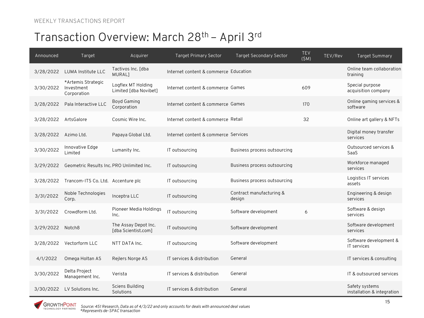| Announced | Target                                          | Acquirer                                    | <b>Target Primary Sector</b>          | <b>Target Secondary Sector</b>     | TEV<br>(SM) | TEV/Rev | <b>Target Summary</b>                        |
|-----------|-------------------------------------------------|---------------------------------------------|---------------------------------------|------------------------------------|-------------|---------|----------------------------------------------|
| 3/28/2022 | LUMA Institute LLC                              | Tactivos Inc. [dba<br><b>MURAL1</b>         | Internet content & commerce Education |                                    |             |         | Online team collaboration<br>training        |
| 3/30/2022 | *Artemis Strategic<br>Investment<br>Corporation | Logflex MT Holding<br>Limited [dba Novibet] | Internet content & commerce Games     |                                    | 609         |         | Special purpose<br>acquisition company       |
| 3/28/2022 | Pala Interactive LLC                            | <b>Boyd Gaming</b><br>Corporation           | Internet content & commerce Games     |                                    | 170         |         | Online gaming services &<br>software         |
| 3/28/2022 | ArtsGalore                                      | Cosmic Wire Inc.                            | Internet content & commerce Retail    |                                    | 32          |         | Online art gallery & NFTs                    |
| 3/28/2022 | Azimo Ltd.                                      | Papaya Global Ltd.                          | Internet content & commerce Services  |                                    |             |         | Digital money transfer<br>services           |
| 3/30/2022 | Innovative Edge<br>Limited                      | Lumanity Inc.                               | IT outsourcing                        | Business process outsourcing       |             |         | Outsourced services &<br>SaaS                |
| 3/29/2022 | Geometric Results Inc. PRO Unlimited Inc.       |                                             | IT outsourcing                        | Business process outsourcing       |             |         | Workforce managed<br>services                |
| 3/28/2022 | Trancom-ITS Co. Ltd. Accenture plc              |                                             | IT outsourcing                        | Business process outsourcing       |             |         | Logistics IT services<br>assets              |
| 3/31/2022 | Noble Technologies<br>Corp.                     | Inceptra LLC                                | IT outsourcing                        | Contract manufacturing &<br>design |             |         | Engineering & design<br>services             |
| 3/31/2022 | Crowdform Ltd.                                  | Pioneer Media Holdings<br>Inc.              | IT outsourcing                        | Software development               | 6           |         | Software & design<br>services                |
| 3/29/2022 | Notch <sub>8</sub>                              | The Assay Depot Inc.<br>[dba Scientist.com] | IT outsourcing                        | Software development               |             |         | Software development<br>services             |
| 3/28/2022 | Vectorform LLC                                  | NTT DATA Inc.                               | IT outsourcing                        | Software development               |             |         | Software development &<br>IT services        |
| 4/1/2022  | Omega Holtan AS                                 | Rejlers Norge AS                            | IT services & distribution            | General                            |             |         | IT services & consulting                     |
| 3/30/2022 | Delta Project<br>Management Inc.                | Verista                                     | IT services & distribution            | General                            |             |         | IT & outsourced services                     |
| 3/30/2022 | LV Solutions Inc.                               | <b>Sciens Building</b><br>Solutions         | IT services & distribution            | General                            |             |         | Safety systems<br>installation & integration |

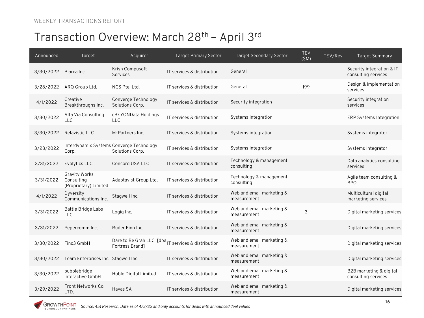| Announced | Target                                                      | Acquirer                                                    | <b>Target Primary Sector</b>                                       | <b>Target Secondary Sector</b>           | TEV<br>(SM) | TEV/Rev | <b>Target Summary</b>                            |
|-----------|-------------------------------------------------------------|-------------------------------------------------------------|--------------------------------------------------------------------|------------------------------------------|-------------|---------|--------------------------------------------------|
| 3/30/2022 | Biarca Inc.                                                 | Krish Compusoft<br>Services                                 | IT services & distribution                                         | General                                  |             |         | Security integration & IT<br>consulting services |
| 3/28/2022 | ARQ Group Ltd.                                              | NCS Pte. Ltd.                                               | IT services & distribution                                         | General                                  | 199         |         | Design & implementation<br>services              |
| 4/1/2022  | Creative<br>Breakthroughs Inc.                              | Converge Technology<br>Solutions Corp.                      | IT services & distribution                                         | Security integration                     |             |         | Security integration<br>services                 |
| 3/30/2022 | Alta Via Consulting<br><b>LLC</b>                           | cBEYONData Holdings<br><b>LLC</b>                           | IT services & distribution                                         | Systems integration                      |             |         | <b>ERP Systems Integration</b>                   |
| 3/30/2022 | Relavistic LLC                                              | M-Partners Inc.                                             | IT services & distribution                                         | Systems integration                      |             |         | Systems integrator                               |
| 3/28/2022 | Corp.                                                       | Interdynamix Systems Converge Technology<br>Solutions Corp. | IT services & distribution                                         | Systems integration                      |             |         | Systems integrator                               |
| 3/31/2022 | Evolytics LLC                                               | Concord USA LLC                                             | IT services & distribution                                         | Technology & management<br>consulting    |             |         | Data analytics consulting<br>services            |
| 3/31/2022 | <b>Gravity Works</b><br>Consulting<br>(Proprietary) Limited | Adaptavist Group Ltd.                                       | IT services & distribution                                         | Technology & management<br>consulting    |             |         | Agile team consulting &<br><b>BPO</b>            |
| 4/1/2022  | Dyversity<br>Communications Inc.                            | Stagwell Inc.                                               | IT services & distribution                                         | Web and email marketing &<br>measurement |             |         | Multicultural digital<br>marketing services      |
| 3/31/2022 | Battle Bridge Labs<br><b>LLC</b>                            | Logig Inc.                                                  | IT services & distribution                                         | Web and email marketing &<br>measurement | 3           |         | Digital marketing services                       |
| 3/31/2022 | Pepercomm Inc.                                              | Ruder Finn Inc.                                             | IT services & distribution                                         | Web and email marketing &<br>measurement |             |         | Digital marketing services                       |
| 3/30/2022 | Finc3 GmbH                                                  | Fortress Brand]                                             | Dare to Be Grah LLC [dba <sub>IT services &amp; distribution</sub> | Web and email marketing &<br>measurement |             |         | Digital marketing services                       |
| 3/30/2022 | Team Enterprises Inc. Stagwell Inc.                         |                                                             | IT services & distribution                                         | Web and email marketing &<br>measurement |             |         | Digital marketing services                       |
| 3/30/2022 | bubblebridge<br>interactive GmbH                            | Huble Digital Limited                                       | IT services & distribution                                         | Web and email marketing &<br>measurement |             |         | B2B marketing & digital<br>consulting services   |
| 3/29/2022 | Front Networks Co.<br>LTD.                                  | Havas SA                                                    | IT services & distribution                                         | Web and email marketing &<br>measurement |             |         | Digital marketing services                       |

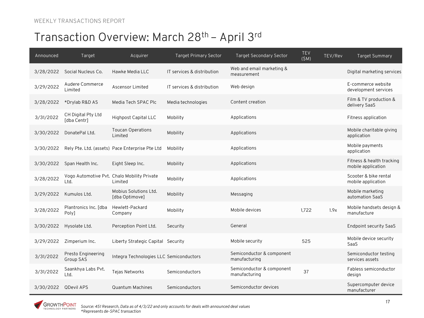| Announced | Target                            | Acquirer                                               | <b>Target Primary Sector</b> | <b>Target Secondary Sector</b>             | <b>TEV</b><br>(SM) | TEV/Rev | <b>Target Summary</b>                           |
|-----------|-----------------------------------|--------------------------------------------------------|------------------------------|--------------------------------------------|--------------------|---------|-------------------------------------------------|
| 3/28/2022 | Social Nucleus Co.                | Hawke Media LLC                                        | IT services & distribution   | Web and email marketing &<br>measurement   |                    |         | Digital marketing services                      |
| 3/29/2022 | Audere Commerce<br>Limited        | Ascensor Limited                                       | IT services & distribution   | Web design                                 |                    |         | E-commerce website<br>development services      |
| 3/28/2022 | *Drylab R&D AS                    | Media Tech SPAC Plc                                    | Media technologies           | Content creation                           |                    |         | Film & TV production &<br>delivery SaaS         |
| 3/31/2022 | CH Digital Pty Ltd<br>[dba Centr] | Highpost Capital LLC                                   | Mobility                     | Applications                               |                    |         | Fitness application                             |
| 3/30/2022 | DonatePal Ltd.                    | <b>Toucan Operations</b><br>Limited                    | Mobility                     | Applications                               |                    |         | Mobile charitable giving<br>application         |
| 3/30/2022 |                                   | Rely Pte. Ltd. (assets) Pace Enterprise Pte Ltd        | Mobility                     | Applications                               |                    |         | Mobile payments<br>application                  |
| 3/30/2022 | Span Health Inc.                  | Eight Sleep Inc.                                       | Mobility                     | Applications                               |                    |         | Fitness & health tracking<br>mobile application |
| 3/28/2022 | Ltd.                              | Vogo Automotive Pvt. Chalo Mobility Private<br>Limited | Mobility                     | Applications                               |                    |         | Scooter & bike rental<br>mobile application     |
| 3/29/2022 | Kumulos Ltd.                      | Mobius Solutions Ltd.<br>[dba Optimove]                | Mobility                     | Messaging                                  |                    |         | Mobile marketing<br>automation SaaS             |
| 3/28/2022 | Plantronics Inc. [dba<br>Poly]    | Hewlett-Packard<br>Company                             | Mobility                     | Mobile devices                             | 1,722              | 1.9x    | Mobile handsets design &<br>manufacture         |
| 3/30/2022 | Hysolate Ltd.                     | Perception Point Ltd.                                  | Security                     | General                                    |                    |         | Endpoint security SaaS                          |
| 3/29/2022 | Zimperium Inc.                    | Liberty Strategic Capital Security                     |                              | Mobile security                            | 525                |         | Mobile device security<br>SaaS                  |
| 3/31/2022 | Presto Engineering<br>Group SAS   | Integra Technologies LLC Semiconductors                |                              | Semiconductor & component<br>manufacturing |                    |         | Semiconductor testing<br>services assets        |
| 3/31/2022 | Saankhya Labs Pvt.<br>Ltd.        | Tejas Networks                                         | Semiconductors               | Semiconductor & component<br>manufacturing | 37                 |         | Fabless semiconductor<br>design                 |
| 3/30/2022 | <b>QDevil APS</b>                 | <b>Quantum Machines</b>                                | Semiconductors               | Semiconductor devices                      |                    |         | Supercomputer device<br>manufacturer            |

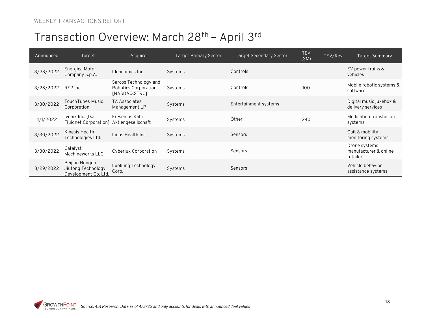| Announced | Target                                                       | Acquirer                                                       | Target Primary Sector | <b>Target Secondary Sector</b> | <b>TEV</b><br>(SM) | TEV/Rev | Target Summary                                     |
|-----------|--------------------------------------------------------------|----------------------------------------------------------------|-----------------------|--------------------------------|--------------------|---------|----------------------------------------------------|
| 3/28/2022 | Energica Motor<br>Company S.p.A.                             | Ideanomics Inc.                                                | Systems               | Controls                       |                    |         | EV power trains &<br>vehicles                      |
| 3/28/2022 | RE2 Inc.                                                     | Sarcos Technology and<br>Robotics Corporation<br>[NASDAQ:STRC] | Systems               | Controls                       | 100                |         | Mobile robotic systems &<br>software               |
| 3/30/2022 | TouchTunes Music<br>Corporation                              | TA Associates<br>Management LP                                 | Systems               | Entertainment systems          |                    |         | Digital music jukebox &<br>delivery services       |
| 4/1/2022  | Ivenix Inc. [fka<br>Fluidnet Corporation]                    | Fresenius Kabi<br>Aktiengesellschaft                           | Systems               | Other                          | 240                |         | Medication transfusion<br>systems                  |
| 3/30/2022 | Kinesis Health<br>Technologies Ltd.                          | Linus Health Inc.                                              | Systems               | Sensors                        |                    |         | Gait & mobility<br>monitoring systems              |
| 3/30/2022 | Catalyst<br>Machineworks LLC                                 | Cyberlux Corporation                                           | Systems               | Sensors                        |                    |         | Drone systems<br>manufacturer & online<br>retailer |
| 3/29/2022 | Beijing Hongda<br>Jiutong Technology<br>Development Co. Ltd. | Luokung Technology<br>Corp.                                    | Systems               | Sensors                        |                    |         | Vehicle behavior<br>assistance systems             |